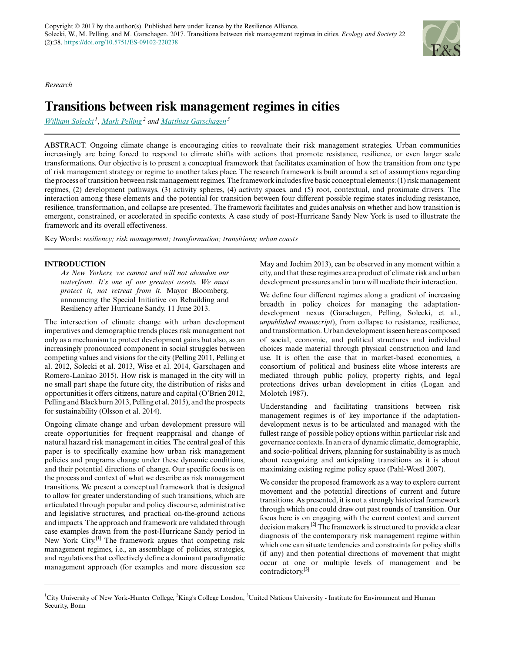*Research*

# **Transitions between risk management regimes in cities**

*[William Solecki](mailto:wsolecki@hunter.cuny.edu)<sup>1</sup>* , *[Mark Pelling](mailto:mark.pelling@kcl.ac.uk)<sup>2</sup> and [Matthias Garschagen](mailto:garschagen@ehs.unu.edu)<sup>3</sup>*

ABSTRACT. Ongoing climate change is encouraging cities to reevaluate their risk management strategies. Urban communities increasingly are being forced to respond to climate shifts with actions that promote resistance, resilience, or even larger scale transformations. Our objective is to present a conceptual framework that facilitates examination of how the transition from one type of risk management strategy or regime to another takes place. The research framework is built around a set of assumptions regarding the process of transition between risk management regimes. The framework includes five basic conceptual elements: (1) risk management regimes, (2) development pathways, (3) activity spheres, (4) activity spaces, and (5) root, contextual, and proximate drivers. The interaction among these elements and the potential for transition between four different possible regime states including resistance, resilience, transformation, and collapse are presented. The framework facilitates and guides analysis on whether and how transition is emergent, constrained, or accelerated in specific contexts. A case study of post-Hurricane Sandy New York is used to illustrate the framework and its overall effectiveness.

Key Words: *resiliency; risk management; transformation; transitions; urban coasts*

# **INTRODUCTION**

*As New Yorkers, we cannot and will not abandon our waterfront. It's one of our greatest assets. We must protect it, not retreat from it.* Mayor Bloomberg, announcing the Special Initiative on Rebuilding and Resiliency after Hurricane Sandy, 11 June 2013.

The intersection of climate change with urban development imperatives and demographic trends places risk management not only as a mechanism to protect development gains but also, as an increasingly pronounced component in social struggles between competing values and visions for the city (Pelling 2011, Pelling et al. 2012, Solecki et al. 2013, Wise et al. 2014, Garschagen and Romero-Lankao 2015). How risk is managed in the city will in no small part shape the future city, the distribution of risks and opportunities it offers citizens, nature and capital (O'Brien 2012, Pelling and Blackburn 2013, Pelling et al. 2015), and the prospects for sustainability (Olsson et al. 2014).

Ongoing climate change and urban development pressure will create opportunities for frequent reappraisal and change of natural hazard risk management in cities. The central goal of this paper is to specifically examine how urban risk management policies and programs change under these dynamic conditions, and their potential directions of change. Our specific focus is on the process and context of what we describe as risk management transitions. We present a conceptual framework that is designed to allow for greater understanding of such transitions, which are articulated through popular and policy discourse, administrative and legislative structures, and practical on-the-ground actions and impacts. The approach and framework are validated through case examples drawn from the post-Hurricane Sandy period in New York City.[1] The framework argues that competing risk management regimes, i.e., an assemblage of policies, strategies, and regulations that collectively define a dominant paradigmatic management approach (for examples and more discussion see

May and Jochim 2013), can be observed in any moment within a city, and that these regimes are a product of climate risk and urban development pressures and in turn will mediate their interaction.

We define four different regimes along a gradient of increasing breadth in policy choices for managing the adaptationdevelopment nexus (Garschagen, Pelling, Solecki, et al., *unpublished manuscript*), from collapse to resistance, resilience, and transformation. Urban development is seen here as composed of social, economic, and political structures and individual choices made material through physical construction and land use. It is often the case that in market-based economies, a consortium of political and business elite whose interests are mediated through public policy, property rights, and legal protections drives urban development in cities (Logan and Molotch 1987).

Understanding and facilitating transitions between risk management regimes is of key importance if the adaptationdevelopment nexus is to be articulated and managed with the fullest range of possible policy options within particular risk and governance contexts. In an era of dynamic climatic, demographic, and socio-political drivers, planning for sustainability is as much about recognizing and anticipating transitions as it is about maximizing existing regime policy space (Pahl-Wostl 2007).

We consider the proposed framework as a way to explore current movement and the potential directions of current and future transitions. As presented, it is not a strongly historical framework through which one could draw out past rounds of transition. Our focus here is on engaging with the current context and current decision makers.[2] The framework is structured to provide a clear diagnosis of the contemporary risk management regime within which one can situate tendencies and constraints for policy shifts (if any) and then potential directions of movement that might occur at one or multiple levels of management and be contradictory.<sup>[3]</sup>



<sup>&</sup>lt;sup>1</sup>City University of New York-Hunter College, <sup>2</sup>King's College London, <sup>3</sup>United Nations University - Institute for Environment and Human Security, Bonn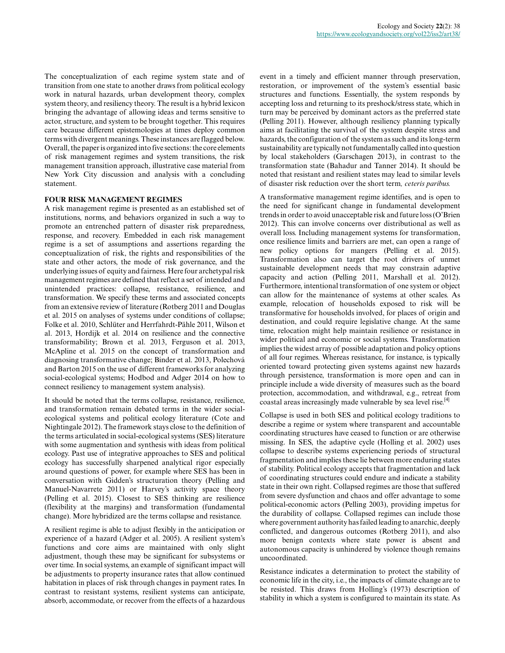The conceptualization of each regime system state and of transition from one state to another draws from political ecology work in natural hazards, urban development theory, complex system theory, and resiliency theory. The result is a hybrid lexicon bringing the advantage of allowing ideas and terms sensitive to actor, structure, and system to be brought together. This requires care because different epistemologies at times deploy common terms with divergent meanings. These instances are flagged below. Overall, the paper is organized into five sections: the core elements of risk management regimes and system transitions, the risk management transition approach, illustrative case material from New York City discussion and analysis with a concluding statement.

## **FOUR RISK MANAGEMENT REGIMES**

A risk management regime is presented as an established set of institutions, norms, and behaviors organized in such a way to promote an entrenched pattern of disaster risk preparedness, response, and recovery. Embedded in each risk management regime is a set of assumptions and assertions regarding the conceptualization of risk, the rights and responsibilities of the state and other actors, the mode of risk governance, and the underlying issues of equity and fairness. Here four archetypal risk management regimes are defined that reflect a set of intended and unintended practices: collapse, resistance, resilience, and transformation. We specify these terms and associated concepts from an extensive review of literature (Rotberg 2011 and Douglas et al. 2015 on analyses of systems under conditions of collapse; Folke et al. 2010, Schlüter and Herrfahrdt-Pähle 2011, Wilson et al. 2013, Hordijk et al. 2014 on resilience and the connective transformability; Brown et al. 2013, Ferguson et al. 2013, McApline et al. 2015 on the concept of transformation and diagnosing transformative change; Binder et al. 2013, Polechová and Barton 2015 on the use of different frameworks for analyzing social-ecological systems; Hodbod and Adger 2014 on how to connect resiliency to management system analysis).

It should be noted that the terms collapse, resistance, resilience, and transformation remain debated terms in the wider socialecological systems and political ecology literature (Cote and Nightingale 2012). The framework stays close to the definition of the terms articulated in social-ecological systems (SES) literature with some augmentation and synthesis with ideas from political ecology. Past use of integrative approaches to SES and political ecology has successfully sharpened analytical rigor especially around questions of power, for example where SES has been in conversation with Gidden's structuration theory (Pelling and Manuel-Navarrete 2011) or Harvey's activity space theory (Pelling et al. 2015). Closest to SES thinking are resilience (flexibility at the margins) and transformation (fundamental change). More hybridized are the terms collapse and resistance.

A resilient regime is able to adjust flexibly in the anticipation or experience of a hazard (Adger et al. 2005). A resilient system's functions and core aims are maintained with only slight adjustment, though these may be significant for subsystems or over time. In social systems, an example of significant impact will be adjustments to property insurance rates that allow continued habitation in places of risk through changes in payment rates. In contrast to resistant systems, resilient systems can anticipate, absorb, accommodate, or recover from the effects of a hazardous

event in a timely and efficient manner through preservation, restoration, or improvement of the system's essential basic structures and functions. Essentially, the system responds by accepting loss and returning to its preshock/stress state, which in turn may be perceived by dominant actors as the preferred state (Pelling 2011). However, although resiliency planning typically aims at facilitating the survival of the system despite stress and hazards, the configuration of the system as such and its long-term sustainability are typically not fundamentally called into question by local stakeholders (Garschagen 2013), in contrast to the transformation state (Bahadur and Tanner 2014). It should be noted that resistant and resilient states may lead to similar levels of disaster risk reduction over the short term*, ceteris paribus.*

A transformative management regime identifies, and is open to the need for significant change in fundamental development trends in order to avoid unacceptable risk and future loss (O'Brien 2012). This can involve concerns over distributional as well as overall loss. Including management systems for transformation, once resilience limits and barriers are met, can open a range of new policy options for mangers (Pelling et al. 2015). Transformation also can target the root drivers of unmet sustainable development needs that may constrain adaptive capacity and action (Pelling 2011, Marshall et al. 2012). Furthermore, intentional transformation of one system or object can allow for the maintenance of systems at other scales. As example, relocation of households exposed to risk will be transformative for households involved, for places of origin and destination, and could require legislative change. At the same time, relocation might help maintain resilience or resistance in wider political and economic or social systems. Transformation implies the widest array of possible adaptation and policy options of all four regimes. Whereas resistance, for instance, is typically oriented toward protecting given systems against new hazards through persistence, transformation is more open and can in principle include a wide diversity of measures such as the board protection, accommodation, and withdrawal, e.g., retreat from coastal areas increasingly made vulnerable by sea level rise.<sup>[4]</sup>

Collapse is used in both SES and political ecology traditions to describe a regime or system where transparent and accountable coordinating structures have ceased to function or are otherwise missing. In SES, the adaptive cycle (Holling et al. 2002) uses collapse to describe systems experiencing periods of structural fragmentation and implies these lie between more enduring states of stability. Political ecology accepts that fragmentation and lack of coordinating structures could endure and indicate a stability state in their own right. Collapsed regimes are those that suffered from severe dysfunction and chaos and offer advantage to some political-economic actors (Pelling 2003), providing impetus for the durability of collapse. Collapsed regimes can include those where government authority has failed leading to anarchic, deeply conflicted, and dangerous outcomes (Rotberg 2011), and also more benign contexts where state power is absent and autonomous capacity is unhindered by violence though remains uncoordinated.

Resistance indicates a determination to protect the stability of economic life in the city, i.e., the impacts of climate change are to be resisted. This draws from Holling's (1973) description of stability in which a system is configured to maintain its state. As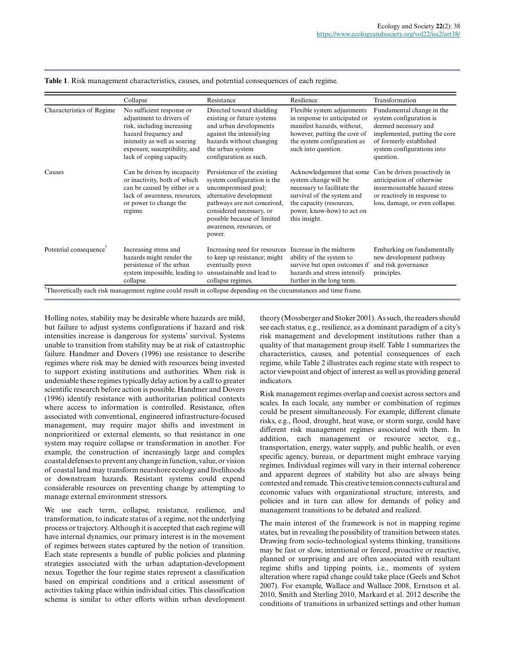|                                    | Collapse                                                                                                                                                                                                 | Resistance                                                                                                                                                                                                                                   | Resilience                                                                                                                                                                                 | Transformation                                                                                                                                                                      |
|------------------------------------|----------------------------------------------------------------------------------------------------------------------------------------------------------------------------------------------------------|----------------------------------------------------------------------------------------------------------------------------------------------------------------------------------------------------------------------------------------------|--------------------------------------------------------------------------------------------------------------------------------------------------------------------------------------------|-------------------------------------------------------------------------------------------------------------------------------------------------------------------------------------|
| Characteristics of Regime          | No sufficient response or<br>adjustment to drivers of<br>risk, including increasing<br>hazard frequency and<br>intensity as well as soaring<br>exposure, susceptibility, and<br>lack of coping capacity. | Directed toward shielding<br>existing or future systems<br>and urban developments<br>against the intensifying<br>hazards without changing<br>the urban system<br>configuration as such.                                                      | Flexible system adjustments<br>in response to anticipated or<br>manifest hazards, without,<br>however, putting the core of<br>the system configuration as<br>such into question.           | Fundamental change in the<br>system configuration is<br>deemed necessary and<br>implemented, putting the core<br>of formerly established<br>system configurations into<br>question. |
| Causes                             | Can be driven by incapacity<br>or inactivity, both of which<br>can be caused by either or a<br>lack of awareness, resources,<br>or power to change the<br>regime.                                        | Persistence of the existing<br>system configuration is the<br>uncompromised goal;<br>alternative development<br>pathways are not conceived,<br>considered necessary, or<br>possible because of limited<br>awareness, resources, or<br>power. | Acknowledgement that some<br>system change will be<br>necessary to facilitate the<br>survival of the system and<br>the capacity (resources,<br>power, know-how) to act on<br>this insight. | Can be driven proactively in<br>anticipation of otherwise<br>insurmountable hazard stress<br>or reactively in response to<br>loss, damage, or even collapse.                        |
| Potential consequence <sup>†</sup> | Increasing stress and<br>hazards might render the<br>persistence of the urban<br>system impossible, leading to<br>collapse.                                                                              | Increasing need for resources<br>to keep up resistance; might<br>eventually prove<br>unsustainable and lead to<br>collapse regimes.                                                                                                          | Increase in the midterm<br>ability of the system to<br>survive but open outcomes if<br>hazards and stress intensify<br>further in the long term.                                           | Embarking on fundamentally<br>new development pathway<br>and risk governance<br>principles.                                                                                         |

**Table 1**. Risk management characteristics, causes, and potential consequences of each regime.

Holling notes, stability may be desirable where hazards are mild, but failure to adjust systems configurations if hazard and risk intensities increase is dangerous for systems' survival. Systems unable to transition from stability may be at risk of catastrophic failure. Handmer and Dovers (1996) use resistance to describe regimes where risk may be denied with resources being invested to support existing institutions and authorities. When risk is undeniable these regimes typically delay action by a call to greater scientific research before action is possible. Handmer and Dovers (1996) identify resistance with authoritarian political contexts where access to information is controlled. Resistance, often associated with conventional, engineered infrastructure-focused management, may require major shifts and investment in nonprioritized or external elements, so that resistance in one system may require collapse or transformation in another. For example, the construction of increasingly large and complex coastal defenses to prevent any change in function, value, or vision of coastal land may transform nearshore ecology and livelihoods or downstream hazards. Resistant systems could expend considerable resources on preventing change by attempting to manage external environment stressors.

We use each term, collapse, resistance, resilience, and transformation, to indicate status of a regime, not the underlying process or trajectory. Although it is accepted that each regime will have internal dynamics, our primary interest is in the movement of regimes between states captured by the notion of transition. Each state represents a bundle of public policies and planning strategies associated with the urban adaptation-development nexus. Together the four regime states represent a classification based on empirical conditions and a critical assessment of activities taking place within individual cities. This classification schema is similar to other efforts within urban development theory (Mossberger and Stoker 2001). As such, the readers should see each status, e.g., resilience, as a dominant paradigm of a city's risk management and development institutions rather than a quality of that management group itself. Table 1 summarizes the characteristics, causes, and potential consequences of each regime, while Table 2 illustrates each regime state with respect to actor viewpoint and object of interest as well as providing general indicators.

Risk management regimes overlap and coexist across sectors and scales. In each locale, any number or combination of regimes could be present simultaneously. For example, different climate risks, e.g., flood, drought, heat wave, or storm surge, could have different risk management regimes associated with them. In addition, each management or resource sector, e.g., transportation, energy, water supply, and public health, or even specific agency, bureau, or department might embrace varying regimes. Individual regimes will vary in their internal coherence and apparent degrees of stability but also are always being contested and remade. This creative tension connects cultural and economic values with organizational structure, interests, and policies and in turn can allow for demands of policy and management transitions to be debated and realized.

The main interest of the framework is not in mapping regime states, but in revealing the possibility of transition between states. Drawing from socio-technological systems thinking, transitions may be fast or slow, intentional or forced, proactive or reactive, planned or surprising and are often associated with resultant regime shifts and tipping points, i.e., moments of system alteration where rapid change could take place (Geels and Schot 2007). For example, Wallace and Wallace 2008, Ernstson et al. 2010, Smith and Sterling 2010, Markard et al. 2012 describe the conditions of transitions in urbanized settings and other human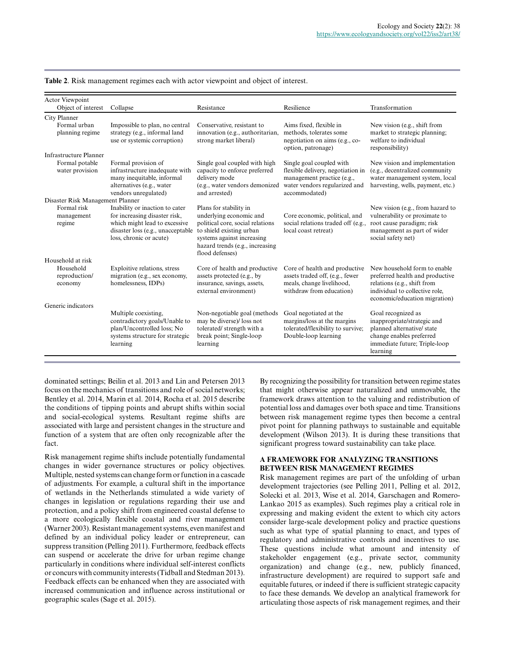| <b>Actor Viewpoint</b><br>Object of interest    | Collapse                                                                                                                                 | Resistance                                                                                                                                                                                            | Resilience                                                                                                                                    | Transformation                                                                                                                                                    |
|-------------------------------------------------|------------------------------------------------------------------------------------------------------------------------------------------|-------------------------------------------------------------------------------------------------------------------------------------------------------------------------------------------------------|-----------------------------------------------------------------------------------------------------------------------------------------------|-------------------------------------------------------------------------------------------------------------------------------------------------------------------|
| <b>City Planner</b>                             |                                                                                                                                          |                                                                                                                                                                                                       |                                                                                                                                               |                                                                                                                                                                   |
| Formal urban<br>planning regime                 | Impossible to plan, no central<br>strategy (e.g., informal land<br>use or systemic corruption)                                           | Conservative, resistant to<br>innovation (e.g., authoritarian,<br>strong market liberal)                                                                                                              | Aims fixed, flexible in<br>methods, tolerates some<br>negotiation on aims (e.g., co-<br>option, patronage)                                    | New vision (e.g., shift from<br>market to strategic planning;<br>welfare to individual<br>responsibility)                                                         |
| <b>Infrastructure Planner</b>                   |                                                                                                                                          |                                                                                                                                                                                                       |                                                                                                                                               |                                                                                                                                                                   |
| Formal potable<br>water provision               | Formal provision of<br>infrastructure inadequate with<br>many inequitable, informal<br>alternatives (e.g., water<br>vendors unregulated) | Single goal coupled with high<br>capacity to enforce preferred<br>delivery mode<br>(e.g., water vendors demonized<br>and arrested)                                                                    | Single goal coupled with<br>flexible delivery, negotiation in<br>management practice (e.g.,<br>water vendors regularized and<br>accommodated) | New vision and implementation<br>(e.g., decentralized community)<br>water management system, local<br>harvesting, wells, payment, etc.)                           |
| Disaster Risk Management Planner<br>Formal risk | Inability or inaction to cater                                                                                                           |                                                                                                                                                                                                       |                                                                                                                                               |                                                                                                                                                                   |
| management<br>regime                            | for increasing disaster risk,<br>which might lead to excessive<br>disaster loss (e.g., unacceptable<br>loss, chronic or acute)           | Plans for stability in<br>underlying economic and<br>political core, social relations<br>to shield existing urban<br>systems against increasing<br>hazard trends (e.g., increasing<br>flood defenses) | Core economic, political, and<br>social relations traded off (e.g.<br>local coast retreat)                                                    | New vision (e.g., from hazard to<br>vulnerability or proximate to<br>root cause paradigm; risk<br>management as part of wider<br>social safety net)               |
| Household at risk                               |                                                                                                                                          |                                                                                                                                                                                                       |                                                                                                                                               |                                                                                                                                                                   |
| Household<br>reproduction/<br>economy           | Exploitive relations, stress<br>migration (e.g., sex economy,<br>homelessness, IDPs)                                                     | Core of health and productive<br>assets protected (e.g., by<br>insurance, savings, assets,<br>external environment)                                                                                   | Core of health and productive<br>assets traded off, (e.g., fewer<br>meals, change livelihood,<br>withdraw from education)                     | New household form to enable<br>preferred health and productive<br>relations (e.g., shift from<br>individual to collective role,<br>economic/education migration) |
| Generic indicators                              |                                                                                                                                          |                                                                                                                                                                                                       |                                                                                                                                               |                                                                                                                                                                   |
|                                                 | Multiple coexisting,<br>contradictory goals/Unable to<br>plan/Uncontrolled loss; No<br>systems structure for strategic<br>learning       | Non-negotiable goal (methods<br>may be diverse)/ loss not<br>tolerated/ strength with a<br>break point; Single-loop<br>learning                                                                       | Goal negotiated at the<br>margins/loss at the margins<br>tolerated/flexibility to survive;<br>Double-loop learning                            | Goal recognized as<br>inappropriate/strategic and<br>planned alternative/state<br>change enables preferred<br>immediate future; Triple-loop<br>learning           |

| Table 2. Risk management regimes each with actor viewpoint and object of interest. |  |
|------------------------------------------------------------------------------------|--|
|------------------------------------------------------------------------------------|--|

dominated settings; Beilin et al. 2013 and Lin and Petersen 2013 focus on the mechanics of transitions and role of social networks; Bentley et al. 2014, Marin et al. 2014, Rocha et al. 2015 describe the conditions of tipping points and abrupt shifts within social and social-ecological systems. Resultant regime shifts are associated with large and persistent changes in the structure and function of a system that are often only recognizable after the fact.

Risk management regime shifts include potentially fundamental changes in wider governance structures or policy objectives. Multiple, nested systems can change form or function in a cascade of adjustments. For example, a cultural shift in the importance of wetlands in the Netherlands stimulated a wide variety of changes in legislation or regulations regarding their use and protection, and a policy shift from engineered coastal defense to a more ecologically flexible coastal and river management (Warner 2003). Resistant management systems, even manifest and defined by an individual policy leader or entrepreneur, can suppress transition (Pelling 2011). Furthermore, feedback effects can suspend or accelerate the drive for urban regime change particularly in conditions where individual self-interest conflicts or concurs with community interests (Tidball and Stedman 2013). Feedback effects can be enhanced when they are associated with increased communication and influence across institutional or geographic scales (Sage et al. 2015).

By recognizing the possibility for transition between regime states that might otherwise appear naturalized and unmovable, the framework draws attention to the valuing and redistribution of potential loss and damages over both space and time. Transitions between risk management regime types then become a central pivot point for planning pathways to sustainable and equitable development (Wilson 2013). It is during these transitions that significant progress toward sustainability can take place.

## **A FRAMEWORK FOR ANALYZING TRANSITIONS BETWEEN RISK MANAGEMENT REGIMES**

Risk management regimes are part of the unfolding of urban development trajectories (see Pelling 2011, Pelling et al. 2012, Solecki et al. 2013, Wise et al. 2014, Garschagen and Romero-Lankao 2015 as examples). Such regimes play a critical role in expressing and making evident the extent to which city actors consider large-scale development policy and practice questions such as what type of spatial planning to enact, and types of regulatory and administrative controls and incentives to use. These questions include what amount and intensity of stakeholder engagement (e.g., private sector, community organization) and change (e.g., new, publicly financed, infrastructure development) are required to support safe and equitable futures, or indeed if there is sufficient strategic capacity to face these demands. We develop an analytical framework for articulating those aspects of risk management regimes, and their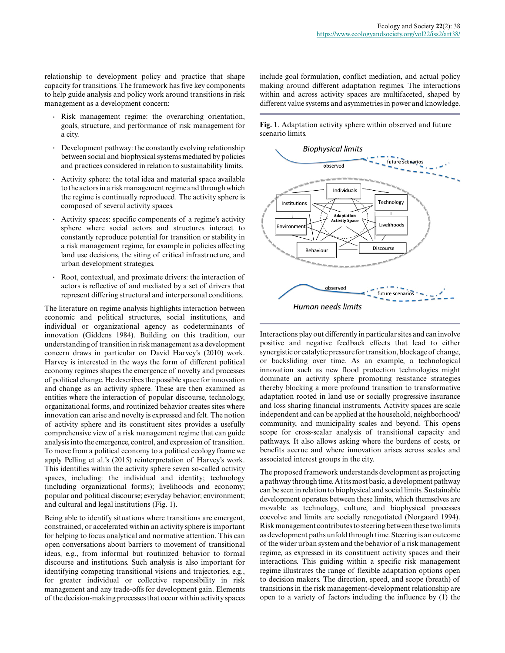relationship to development policy and practice that shape capacity for transitions. The framework has five key components to help guide analysis and policy work around transitions in risk management as a development concern:

- **.** Risk management regime: the overarching orientation, goals, structure, and performance of risk management for a city.
- **.** Development pathway: the constantly evolving relationship between social and biophysical systems mediated by policies and practices considered in relation to sustainability limits.
- **.** Activity sphere: the total idea and material space available to the actors in a risk management regime and through which the regime is continually reproduced. The activity sphere is composed of several activity spaces.
- **.** Activity spaces: specific components of a regime's activity sphere where social actors and structures interact to constantly reproduce potential for transition or stability in a risk management regime, for example in policies affecting land use decisions, the siting of critical infrastructure, and urban development strategies.
- **.** Root, contextual, and proximate drivers: the interaction of actors is reflective of and mediated by a set of drivers that represent differing structural and interpersonal conditions.

The literature on regime analysis highlights interaction between economic and political structures, social institutions, and individual or organizational agency as codeterminants of innovation (Giddens 1984). Building on this tradition, our understanding of transition in risk management as a development concern draws in particular on David Harvey's (2010) work. Harvey is interested in the ways the form of different political economy regimes shapes the emergence of novelty and processes of political change. He describes the possible space for innovation and change as an activity sphere. These are then examined as entities where the interaction of popular discourse, technology, organizational forms, and routinized behavior creates sites where innovation can arise and novelty is expressed and felt. The notion of activity sphere and its constituent sites provides a usefully comprehensive view of a risk management regime that can guide analysis into the emergence, control, and expression of transition. To move from a political economy to a political ecology frame we apply Pelling et al.'s (2015) reinterpretation of Harvey's work. This identifies within the activity sphere seven so-called activity spaces, including: the individual and identity; technology (including organizational forms); livelihoods and economy; popular and political discourse; everyday behavior; environment; and cultural and legal institutions (Fig. 1).

Being able to identify situations where transitions are emergent, constrained, or accelerated within an activity sphere is important for helping to focus analytical and normative attention. This can open conversations about barriers to movement of transitional ideas, e.g., from informal but routinized behavior to formal discourse and institutions. Such analysis is also important for identifying competing transitional visions and trajectories, e.g., for greater individual or collective responsibility in risk management and any trade-offs for development gain. Elements of the decision-making processes that occur within activity spaces include goal formulation, conflict mediation, and actual policy making around different adaptation regimes. The interactions within and across activity spaces are multifaceted, shaped by different value systems and asymmetries in power and knowledge.

**Fig. 1**. Adaptation activity sphere within observed and future scenario limits.



Interactions play out differently in particular sites and can involve positive and negative feedback effects that lead to either synergistic or catalytic pressure for transition, blockage of change, or backsliding over time. As an example, a technological innovation such as new flood protection technologies might dominate an activity sphere promoting resistance strategies thereby blocking a more profound transition to transformative adaptation rooted in land use or socially progressive insurance and loss sharing financial instruments. Activity spaces are scale independent and can be applied at the household, neighborhood/ community, and municipality scales and beyond. This opens scope for cross-scalar analysis of transitional capacity and pathways. It also allows asking where the burdens of costs, or benefits accrue and where innovation arises across scales and associated interest groups in the city.

The proposed framework understands development as projecting a pathway through time. At its most basic, a development pathway can be seen in relation to biophysical and social limits. Sustainable development operates between these limits, which themselves are movable as technology, culture, and biophysical processes coevolve and limits are socially renegotiated (Norgaard 1994). Risk management contributes to steering between these two limits as development paths unfold through time. Steering is an outcome of the wider urban system and the behavior of a risk management regime, as expressed in its constituent activity spaces and their interactions. This guiding within a specific risk management regime illustrates the range of flexible adaptation options open to decision makers. The direction, speed, and scope (breath) of transitions in the risk management-development relationship are open to a variety of factors including the influence by (1) the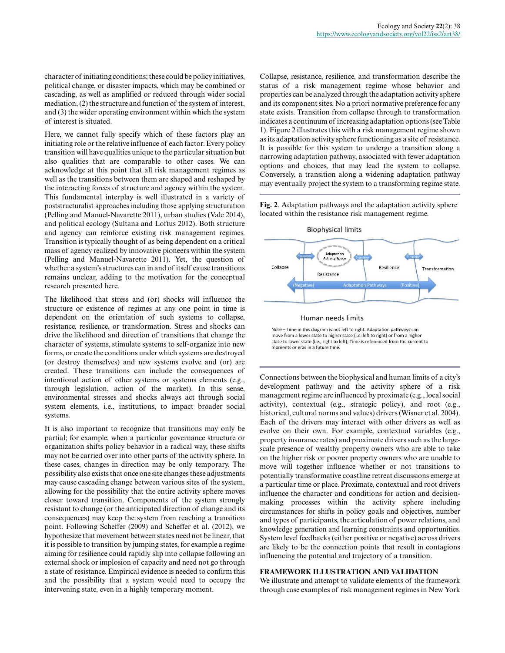character of initiating conditions; these could be policy initiatives, political change, or disaster impacts, which may be combined or cascading, as well as amplified or reduced through wider social mediation, (2) the structure and function of the system of interest, and (3) the wider operating environment within which the system of interest is situated.

Here, we cannot fully specify which of these factors play an initiating role or the relative influence of each factor. Every policy transition will have qualities unique to the particular situation but also qualities that are comparable to other cases. We can acknowledge at this point that all risk management regimes as well as the transitions between them are shaped and reshaped by the interacting forces of structure and agency within the system. This fundamental interplay is well illustrated in a variety of poststructuralist approaches including those applying structuration (Pelling and Manuel-Navarette 2011), urban studies (Vale 2014), and political ecology (Sultana and Loftus 2012). Both structure and agency can reinforce existing risk management regimes. Transition is typically thought of as being dependent on a critical mass of agency realized by innovative pioneers within the system (Pelling and Manuel-Navarette 2011). Yet, the question of whether a system's structures can in and of itself cause transitions remains unclear, adding to the motivation for the conceptual research presented here.

The likelihood that stress and (or) shocks will influence the structure or existence of regimes at any one point in time is dependent on the orientation of such systems to collapse, resistance, resilience, or transformation. Stress and shocks can drive the likelihood and direction of transitions that change the character of systems, stimulate systems to self-organize into new forms, or create the conditions under which systems are destroyed (or destroy themselves) and new systems evolve and (or) are created. These transitions can include the consequences of intentional action of other systems or systems elements (e.g., through legislation, action of the market). In this sense, environmental stresses and shocks always act through social system elements, i.e., institutions, to impact broader social systems.

It is also important to recognize that transitions may only be partial; for example, when a particular governance structure or organization shifts policy behavior in a radical way, these shifts may not be carried over into other parts of the activity sphere. In these cases, changes in direction may be only temporary. The possibility also exists that once one site changes these adjustments may cause cascading change between various sites of the system, allowing for the possibility that the entire activity sphere moves closer toward transition. Components of the system strongly resistant to change (or the anticipated direction of change and its consequences) may keep the system from reaching a transition point. Following Scheffer (2009) and Scheffer et al. (2012), we hypothesize that movement between states need not be linear, that it is possible to transition by jumping states, for example a regime aiming for resilience could rapidly slip into collapse following an external shock or implosion of capacity and need not go through a state of resistance. Empirical evidence is needed to confirm this and the possibility that a system would need to occupy the intervening state, even in a highly temporary moment.

Collapse, resistance, resilience, and transformation describe the status of a risk management regime whose behavior and properties can be analyzed through the adaptation activity sphere and its component sites. No a priori normative preference for any state exists. Transition from collapse through to transformation indicates a continuum of increasing adaptation options (see Table 1). Figure 2 illustrates this with a risk management regime shown as its adaptation activity sphere functioning as a site of resistance. It is possible for this system to undergo a transition along a narrowing adaptation pathway, associated with fewer adaptation options and choices, that may lead the system to collapse. Conversely, a transition along a widening adaptation pathway may eventually project the system to a transforming regime state.

**Fig. 2**. Adaptation pathways and the adaptation activity sphere located within the resistance risk management regime.



Note - Time in this diagram is not left to right. Adaptation pathways can move from a lower state to higher state (i.e. left to right) or from a highe state to lower state (i.e., right to left); Time is referenced from the current to moments or eras in a future time.

Connections between the biophysical and human limits of a city's development pathway and the activity sphere of a risk management regime are influenced by proximate (e.g., local social activity), contextual (e.g., strategic policy), and root (e.g., historical, cultural norms and values) drivers (Wisner et al. 2004). Each of the drivers may interact with other drivers as well as evolve on their own. For example, contextual variables (e.g., property insurance rates) and proximate drivers such as the largescale presence of wealthy property owners who are able to take on the higher risk or poorer property owners who are unable to move will together influence whether or not transitions to potentially transformative coastline retreat discussions emerge at a particular time or place. Proximate, contextual and root drivers influence the character and conditions for action and decisionmaking processes within the activity sphere including circumstances for shifts in policy goals and objectives, number and types of participants, the articulation of power relations, and knowledge generation and learning constraints and opportunities. System level feedbacks (either positive or negative) across drivers are likely to be the connection points that result in contagions influencing the potential and trajectory of a transition.

# **FRAMEWORK ILLUSTRATION AND VALIDATION**

We illustrate and attempt to validate elements of the framework through case examples of risk management regimes in New York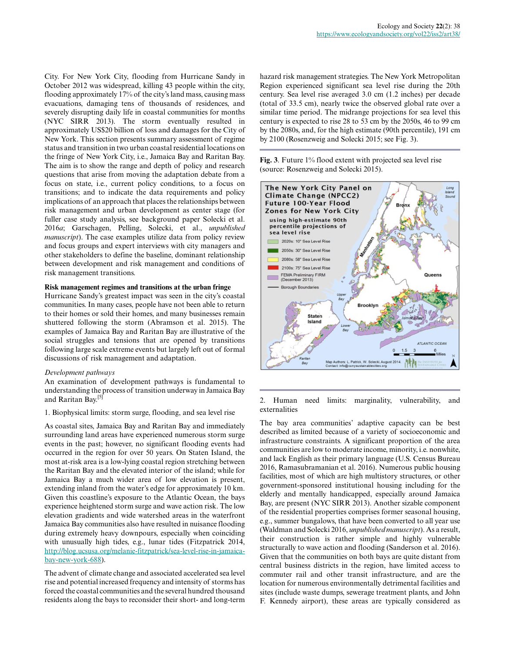City. For New York City, flooding from Hurricane Sandy in October 2012 was widespread, killing 43 people within the city, flooding approximately 17% of the city's land mass, causing mass evacuations, damaging tens of thousands of residences, and severely disrupting daily life in coastal communities for months (NYC SIRR 2013). The storm eventually resulted in approximately US\$20 billion of loss and damages for the City of New York. This section presents summary assessment of regime status and transition in two urban coastal residential locations on the fringe of New York City, i.e., Jamaica Bay and Raritan Bay. The aim is to show the range and depth of policy and research questions that arise from moving the adaptation debate from a focus on state, i.e., current policy conditions, to a focus on transitions; and to indicate the data requirements and policy implications of an approach that places the relationships between risk management and urban development as center stage (for fuller case study analysis, see background paper Solecki et al. 2016*a*; Garschagen, Pelling, Solecki, et al., *unpublished manuscript*). The case examples utilize data from policy review and focus groups and expert interviews with city managers and other stakeholders to define the baseline, dominant relationship between development and risk management and conditions of risk management transitions.

## **Risk management regimes and transitions at the urban fringe**

Hurricane Sandy's greatest impact was seen in the city's coastal communities. In many cases, people have not been able to return to their homes or sold their homes, and many businesses remain shuttered following the storm (Abramson et al. 2015). The examples of Jamaica Bay and Raritan Bay are illustrative of the social struggles and tensions that are opened by transitions following large scale extreme events but largely left out of formal discussions of risk management and adaptation.

## *Development pathways*

An examination of development pathways is fundamental to understanding the process of transition underway in Jamaica Bay and Raritan Bay.[5]

#### 1. Biophysical limits: storm surge, flooding, and sea level rise

As coastal sites, Jamaica Bay and Raritan Bay and immediately surrounding land areas have experienced numerous storm surge events in the past; however, no significant flooding events had occurred in the region for over 50 years. On Staten Island, the most at-risk area is a low-lying coastal region stretching between the Raritan Bay and the elevated interior of the island; while for Jamaica Bay a much wider area of low elevation is present, extending inland from the water's edge for approximately 10 km. Given this coastline's exposure to the Atlantic Ocean, the bays experience heightened storm surge and wave action risk. The low elevation gradients and wide watershed areas in the waterfront Jamaica Bay communities also have resulted in nuisance flooding during extremely heavy downpours, especially when coinciding with unusually high tides, e.g., lunar tides (Fitzpatrick 2014, [http://blog.ucsusa.org/melanie-fitzpatrick/sea-level-rise-in-jamaica](http://blog.ucsusa.org/melanie-fitzpatrick/sea-level-rise-in-jamaica-bay-new-york-688)[bay-new-york-688\)](http://blog.ucsusa.org/melanie-fitzpatrick/sea-level-rise-in-jamaica-bay-new-york-688).

The advent of climate change and associated accelerated sea level rise and potential increased frequency and intensity of storms has forced the coastal communities and the several hundred thousand residents along the bays to reconsider their short- and long-term hazard risk management strategies. The New York Metropolitan Region experienced significant sea level rise during the 20th century. Sea level rise averaged 3.0 cm (1.2 inches) per decade (total of 33.5 cm), nearly twice the observed global rate over a similar time period. The midrange projections for sea level this century is expected to rise 28 to 53 cm by the 2050s, 46 to 99 cm by the 2080s, and, for the high estimate (90th percentile), 191 cm by 2100 (Rosenzweig and Solecki 2015; see Fig. 3).

**Fig. 3**. Future 1% flood extent with projected sea level rise (source: Rosenzweig and Solecki 2015).



#### 2. Human need limits: marginality, vulnerability, and externalities

The bay area communities' adaptive capacity can be best described as limited because of a variety of socioeconomic and infrastructure constraints. A significant proportion of the area communities are low to moderate income, minority, i.e. nonwhite, and lack English as their primary language (U.S. Census Bureau 2016, Ramasubramanian et al. 2016). Numerous public housing facilities, most of which are high multistory structures, or other government-sponsored institutional housing including for the elderly and mentally handicapped, especially around Jamaica Bay, are present (NYC SIRR 2013). Another sizable component of the residential properties comprises former seasonal housing, e.g., summer bungalows, that have been converted to all year use (Waldman and Solecki 2016, *unpublished manuscript*). As a result, their construction is rather simple and highly vulnerable structurally to wave action and flooding (Sanderson et al. 2016). Given that the communities on both bays are quite distant from central business districts in the region, have limited access to commuter rail and other transit infrastructure, and are the location for numerous environmentally detrimental facilities and sites (include waste dumps, sewerage treatment plants, and John F. Kennedy airport), these areas are typically considered as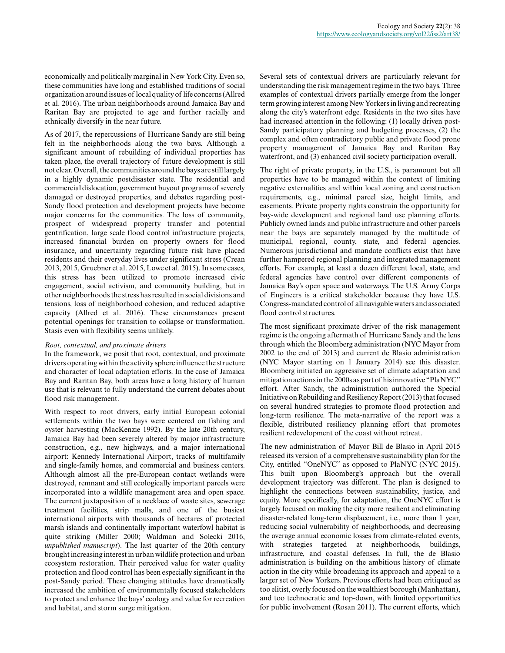economically and politically marginal in New York City. Even so, these communities have long and established traditions of social organization around issues of local quality of life concerns (Allred et al. 2016). The urban neighborhoods around Jamaica Bay and Raritan Bay are projected to age and further racially and ethnically diversify in the near future.

As of 2017, the repercussions of Hurricane Sandy are still being felt in the neighborhoods along the two bays. Although a significant amount of rebuilding of individual properties has taken place, the overall trajectory of future development is still not clear. Overall, the communities around the bays are still largely in a highly dynamic postdisaster state. The residential and commercial dislocation, government buyout programs of severely damaged or destroyed properties, and debates regarding post-Sandy flood protection and development projects have become major concerns for the communities. The loss of community, prospect of widespread property transfer and potential gentrification, large scale flood control infrastructure projects, increased financial burden on property owners for flood insurance, and uncertainty regarding future risk have placed residents and their everyday lives under significant stress (Crean 2013, 2015, Gruebner et al. 2015, Lowe et al. 2015). In some cases, this stress has been utilized to promote increased civic engagement, social activism, and community building, but in other neighborhoods the stress has resulted in social divisions and tensions, loss of neighborhood cohesion, and reduced adaptive capacity (Allred et al. 2016). These circumstances present potential openings for transition to collapse or transformation. Stasis even with flexibility seems unlikely.

## *Root, contextual, and proximate drivers*

In the framework, we posit that root, contextual, and proximate drivers operating within the activity sphere influence the structure and character of local adaptation efforts. In the case of Jamaica Bay and Raritan Bay, both areas have a long history of human use that is relevant to fully understand the current debates about flood risk management.

With respect to root drivers, early initial European colonial settlements within the two bays were centered on fishing and oyster harvesting (MacKenzie 1992). By the late 20th century, Jamaica Bay had been severely altered by major infrastructure construction, e.g., new highways, and a major international airport: Kennedy International Airport, tracks of multifamily and single-family homes, and commercial and business centers. Although almost all the pre-European contact wetlands were destroyed, remnant and still ecologically important parcels were incorporated into a wildlife management area and open space. The current juxtaposition of a necklace of waste sites, sewerage treatment facilities, strip malls, and one of the busiest international airports with thousands of hectares of protected marsh islands and continentally important waterfowl habitat is quite striking (Miller 2000; Waldman and Solecki 2016, *unpublished manuscript*). The last quarter of the 20th century brought increasing interest in urban wildlife protection and urban ecosystem restoration. Their perceived value for water quality protection and flood control has been especially significant in the post-Sandy period. These changing attitudes have dramatically increased the ambition of environmentally focused stakeholders to protect and enhance the bays' ecology and value for recreation and habitat, and storm surge mitigation.

Several sets of contextual drivers are particularly relevant for understanding the risk management regime in the two bays. Three examples of contextual drivers partially emerge from the longer term growing interest among New Yorkers in living and recreating along the city's waterfront edge. Residents in the two sites have had increased attention in the following: (1) locally driven post-Sandy participatory planning and budgeting processes, (2) the complex and often contradictory public and private flood prone property management of Jamaica Bay and Raritan Bay waterfront, and (3) enhanced civil society participation overall.

The right of private property, in the U.S., is paramount but all properties have to be managed within the context of limiting negative externalities and within local zoning and construction requirements, e.g., minimal parcel size, height limits, and easements. Private property rights constrain the opportunity for bay-wide development and regional land use planning efforts. Publicly owned lands and public infrastructure and other parcels near the bays are separately managed by the multitude of municipal, regional, county, state, and federal agencies. Numerous jurisdictional and mandate conflicts exist that have further hampered regional planning and integrated management efforts. For example, at least a dozen different local, state, and federal agencies have control over different components of Jamaica Bay's open space and waterways. The U.S. Army Corps of Engineers is a critical stakeholder because they have U.S. Congress-mandated control of all navigable waters and associated flood control structures.

The most significant proximate driver of the risk management regime is the ongoing aftermath of Hurricane Sandy and the lens through which the Bloomberg administration (NYC Mayor from 2002 to the end of 2013) and current de Blasio administration (NYC Mayor starting on 1 January 2014) see this disaster. Bloomberg initiated an aggressive set of climate adaptation and mitigation actions in the 2000s as part of his innovative "PlaNYC" effort. After Sandy, the administration authored the Special Initiative on Rebuilding and Resiliency Report (2013) that focused on several hundred strategies to promote flood protection and long-term resilience. The meta-narrative of the report was a flexible, distributed resiliency planning effort that promotes resilient redevelopment of the coast without retreat.

The new administration of Mayor Bill de Blasio in April 2015 released its version of a comprehensive sustainability plan for the City, entitled "OneNYC" as opposed to PlaNYC (NYC 2015). This built upon Bloomberg's approach but the overall development trajectory was different. The plan is designed to highlight the connections between sustainability, justice, and equity. More specifically, for adaptation, the OneNYC effort is largely focused on making the city more resilient and eliminating disaster-related long-term displacement, i.e., more than 1 year, reducing social vulnerability of neighborhoods, and decreasing the average annual economic losses from climate-related events, with strategies targeted at neighborhoods, buildings, infrastructure, and coastal defenses. In full, the de Blasio administration is building on the ambitious history of climate action in the city while broadening its approach and appeal to a larger set of New Yorkers. Previous efforts had been critiqued as too elitist, overly focused on the wealthiest borough (Manhattan), and too technocratic and top-down, with limited opportunities for public involvement (Rosan 2011). The current efforts, which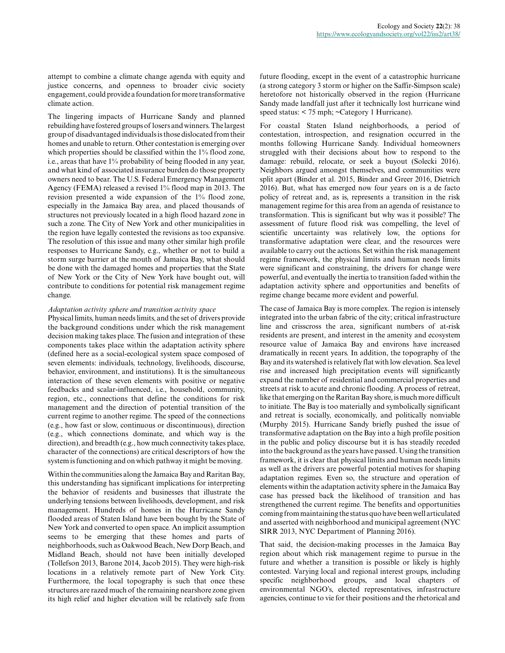attempt to combine a climate change agenda with equity and justice concerns, and openness to broader civic society engagement, could provide a foundation for more transformative climate action.

The lingering impacts of Hurricane Sandy and planned rebuilding have fostered groups of losers and winners. The largest group of disadvantaged individuals is those dislocated from their homes and unable to return. Other contestation is emerging over which properties should be classified within the 1% flood zone, i.e., areas that have 1% probability of being flooded in any year, and what kind of associated insurance burden do those property owners need to bear. The U.S. Federal Emergency Management Agency (FEMA) released a revised 1% flood map in 2013. The revision presented a wide expansion of the 1% flood zone, especially in the Jamaica Bay area, and placed thousands of structures not previously located in a high flood hazard zone in such a zone. The City of New York and other municipalities in the region have legally contested the revisions as too expansive. The resolution of this issue and many other similar high profile responses to Hurricane Sandy, e.g., whether or not to build a storm surge barrier at the mouth of Jamaica Bay, what should be done with the damaged homes and properties that the State of New York or the City of New York have bought out, will contribute to conditions for potential risk management regime change.

## *Adaptation activity sphere and transition activity space*

Physical limits, human needs limits, and the set of drivers provide the background conditions under which the risk management decision making takes place. The fusion and integration of these components takes place within the adaptation activity sphere (defined here as a social-ecological system space composed of seven elements: individuals, technology, livelihoods, discourse, behavior, environment, and institutions). It is the simultaneous interaction of these seven elements with positive or negative feedbacks and scalar-influenced, i.e., household, community, region, etc., connections that define the conditions for risk management and the direction of potential transition of the current regime to another regime. The speed of the connections (e.g., how fast or slow, continuous or discontinuous), direction (e.g., which connections dominate, and which way is the direction), and breadth (e.g., how much connectivity takes place, character of the connections) are critical descriptors of how the system is functioning and on which pathway it might be moving.

Within the communities along the Jamaica Bay and Raritan Bay, this understanding has significant implications for interpreting the behavior of residents and businesses that illustrate the underlying tensions between livelihoods, development, and risk management. Hundreds of homes in the Hurricane Sandy flooded areas of Staten Island have been bought by the State of New York and converted to open space. An implicit assumption seems to be emerging that these homes and parts of neighborhoods, such as Oakwood Beach, New Dorp Beach, and Midland Beach, should not have been initially developed (Tollefson 2013, Barone 2014, Jacob 2015). They were high-risk locations in a relatively remote part of New York City. Furthermore, the local topography is such that once these structures are razed much of the remaining nearshore zone given its high relief and higher elevation will be relatively safe from

future flooding, except in the event of a catastrophic hurricane (a strong category 3 storm or higher on the Saffir-Simpson scale) heretofore not historically observed in the region (Hurricane Sandy made landfall just after it technically lost hurricane wind speed status: < 75 mph; ~Category 1 Hurricane).

For coastal Staten Island neighborhoods, a period of contestation, introspection, and resignation occurred in the months following Hurricane Sandy. Individual homeowners struggled with their decisions about how to respond to the damage: rebuild, relocate, or seek a buyout (Solecki 2016). Neighbors argued amongst themselves, and communities were split apart (Binder et al. 2015, Binder and Greer 2016, Dietrich 2016). But, what has emerged now four years on is a de facto policy of retreat and, as is, represents a transition in the risk management regime for this area from an agenda of resistance to transformation. This is significant but why was it possible? The assessment of future flood risk was compelling, the level of scientific uncertainty was relatively low, the options for transformative adaptation were clear, and the resources were available to carry out the actions. Set within the risk management regime framework, the physical limits and human needs limits were significant and constraining, the drivers for change were powerful, and eventually the inertia to transition faded within the adaptation activity sphere and opportunities and benefits of regime change became more evident and powerful.

The case of Jamaica Bay is more complex. The region is intensely integrated into the urban fabric of the city; critical infrastructure line and crisscross the area, significant numbers of at-risk residents are present, and interest in the amenity and ecosystem resource value of Jamaica Bay and environs have increased dramatically in recent years. In addition, the topography of the Bay and its watershed is relatively flat with low elevation. Sea level rise and increased high precipitation events will significantly expand the number of residential and commercial properties and streets at risk to acute and chronic flooding. A process of retreat, like that emerging on the Raritan Bay shore, is much more difficult to initiate. The Bay is too materially and symbolically significant and retreat is socially, economically, and politically nonviable (Murphy 2015). Hurricane Sandy briefly pushed the issue of transformative adaptation on the Bay into a high profile position in the public and policy discourse but it is has steadily receded into the background as the years have passed. Using the transition framework, it is clear that physical limits and human needs limits as well as the drivers are powerful potential motives for shaping adaptation regimes. Even so, the structure and operation of elements within the adaptation activity sphere in the Jamaica Bay case has pressed back the likelihood of transition and has strengthened the current regime. The benefits and opportunities coming from maintaining the status quo have been well articulated and asserted with neighborhood and municipal agreement (NYC SIRR 2013, NYC Department of Planning 2016).

That said, the decision-making processes in the Jamaica Bay region about which risk management regime to pursue in the future and whether a transition is possible or likely is highly contested. Varying local and regional interest groups, including specific neighborhood groups, and local chapters of environmental NGO's, elected representatives, infrastructure agencies, continue to vie for their positions and the rhetorical and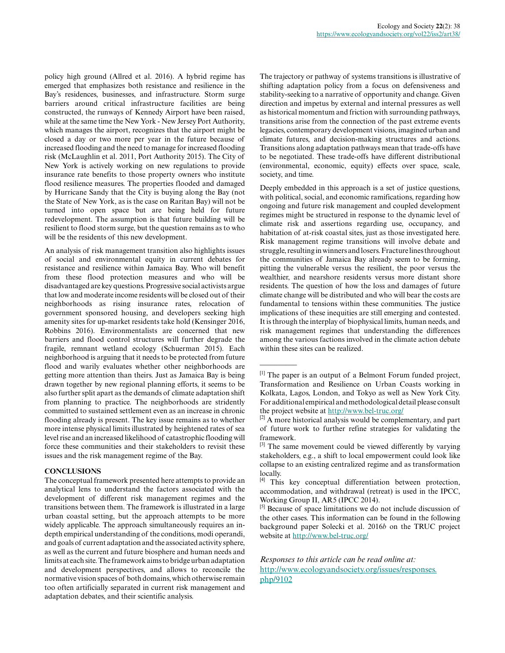policy high ground (Allred et al. 2016). A hybrid regime has emerged that emphasizes both resistance and resilience in the Bay's residences, businesses, and infrastructure. Storm surge barriers around critical infrastructure facilities are being constructed, the runways of Kennedy Airport have been raised, while at the same time the New York - New Jersey Port Authority, which manages the airport, recognizes that the airport might be closed a day or two more per year in the future because of increased flooding and the need to manage for increased flooding risk (McLaughlin et al. 2011, Port Authority 2015). The City of New York is actively working on new regulations to provide insurance rate benefits to those property owners who institute flood resilience measures. The properties flooded and damaged by Hurricane Sandy that the City is buying along the Bay (not the State of New York, as is the case on Raritan Bay) will not be turned into open space but are being held for future redevelopment. The assumption is that future building will be resilient to flood storm surge, but the question remains as to who will be the residents of this new development.

An analysis of risk management transition also highlights issues of social and environmental equity in current debates for resistance and resilience within Jamaica Bay. Who will benefit from these flood protection measures and who will be disadvantaged are key questions. Progressive social activists argue that low and moderate income residents will be closed out of their neighborhoods as rising insurance rates, relocation of government sponsored housing, and developers seeking high amenity sites for up-market residents take hold (Kensinger 2016, Robbins 2016). Environmentalists are concerned that new barriers and flood control structures will further degrade the fragile, remnant wetland ecology (Schuerman 2015). Each neighborhood is arguing that it needs to be protected from future flood and warily evaluates whether other neighborhoods are getting more attention than theirs. Just as Jamaica Bay is being drawn together by new regional planning efforts, it seems to be also further split apart as the demands of climate adaptation shift from planning to practice. The neighborhoods are stridently committed to sustained settlement even as an increase in chronic flooding already is present. The key issue remains as to whether more intense physical limits illustrated by heightened rates of sea level rise and an increased likelihood of catastrophic flooding will force these communities and their stakeholders to revisit these issues and the risk management regime of the Bay.

# **CONCLUSIONS**

The conceptual framework presented here attempts to provide an analytical lens to understand the factors associated with the development of different risk management regimes and the transitions between them. The framework is illustrated in a large urban coastal setting, but the approach attempts to be more widely applicable. The approach simultaneously requires an indepth empirical understanding of the conditions, modi operandi, and goals of current adaptation and the associated activity sphere, as well as the current and future biosphere and human needs and limits at each site. The framework aims to bridge urban adaptation and development perspectives, and allows to reconcile the normative vision spaces of both domains, which otherwise remain too often artificially separated in current risk management and adaptation debates, and their scientific analysis.

The trajectory or pathway of systems transitions is illustrative of shifting adaptation policy from a focus on defensiveness and stability-seeking to a narrative of opportunity and change. Given direction and impetus by external and internal pressures as well as historical momentum and friction with surrounding pathways, transitions arise from the connection of the past extreme events legacies, contemporary development visions, imagined urban and climate futures, and decision-making structures and actions. Transitions along adaptation pathways mean that trade-offs have to be negotiated. These trade-offs have different distributional (environmental, economic, equity) effects over space, scale, society, and time.

Deeply embedded in this approach is a set of justice questions, with political, social, and economic ramifications, regarding how ongoing and future risk management and coupled development regimes might be structured in response to the dynamic level of climate risk and assertions regarding use, occupancy, and habitation of at-risk coastal sites, just as those investigated here. Risk management regime transitions will involve debate and struggle, resulting in winners and losers. Fracture lines throughout the communities of Jamaica Bay already seem to be forming, pitting the vulnerable versus the resilient, the poor versus the wealthier, and nearshore residents versus more distant shore residents. The question of how the loss and damages of future climate change will be distributed and who will bear the costs are fundamental to tensions within these communities. The justice implications of these inequities are still emerging and contested. It is through the interplay of biophysical limits, human needs, and risk management regimes that understanding the differences among the various factions involved in the climate action debate within these sites can be realized.

 $\overline{\phantom{a}}$ 

<sup>[1]</sup> The paper is an output of a Belmont Forum funded project, Transformation and Resilience on Urban Coasts working in Kolkata, Lagos, London, and Tokyo as well as New York City. For additional empirical and methodological detail please consult the project website at <http://www.bel-truc.org/>

<sup>&</sup>lt;sup>[2]</sup> A more historical analysis would be complementary, and part of future work to further refine strategies for validating the framework.

<sup>[3]</sup> The same movement could be viewed differently by varying stakeholders, e.g., a shift to local empowerment could look like collapse to an existing centralized regime and as transformation locally.

<sup>[4]</sup> This key conceptual differentiation between protection, accommodation, and withdrawal (retreat) is used in the IPCC, Working Group II, AR5 (IPCC 2014).

<sup>[5]</sup> Because of space limitations we do not include discussion of the other cases. This information can be found in the following background paper Solecki et al. 2016*b* on the TRUC project website at <http://www.bel-truc.org/>

*Responses to this article can be read online at:* [http://www.ecologyandsociety.org/issues/responses.](http://www.ecologyandsociety.org/issues/responses.php/9102) [php/9102](http://www.ecologyandsociety.org/issues/responses.php/9102)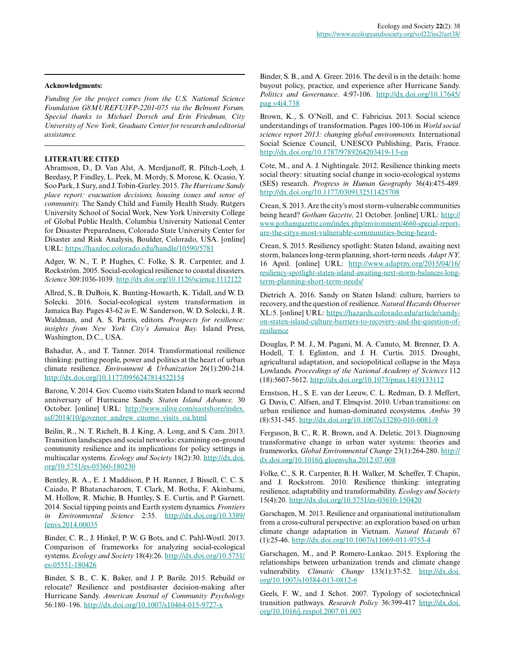## **Acknowledgments:**

*Funding for the project comes from the U.S. National Science Foundation G8MUREFU3FP-2201-075 via the Belmont Forum. Special thanks to Michael Dorsch and Erin Friedman, City University of New York, Graduate Center for research and editorial assistance.*

## **LITERATURE CITED**

Abramson, D., D. Van Alst, A. Merdjanoff, R. Piltch-Loeb, J. Beedasy, P. Findley, L. Peek, M. Mordy, S. Morose, K. Ocasio, Y. Soo Park, J. Sury, and J. Tobin-Gurley. 2015. *The Hurricane Sandy place report: evacuation decisions, housing issues and sense of community.* The Sandy Child and Family Health Study. Rutgers University School of Social Work, New York University College of Global Public Health, Columbia University National Center for Disaster Preparedness, Colorado State University Center for Disaster and Risk Analysis, Boulder, Colorado, USA. [online] URL:<https://hazdoc.colorado.edu/handle/10590/5781>

Adger, W. N., T. P. Hughes, C. Folke, S. R. Carpenter, and J. Rockström. 2005. Social-ecological resilience to coastal disasters. *Science* 309:1036-1039. [http://dx.doi.org/10.1126/science.1112122](http://dx.doi.org/10.1126%2Fscience.1112122) 

Allred, S., B. DuBois, K. Bunting-Howarth, K. Tidall, and W. D. Solecki. 2016. Social-ecological system transformation in Jamaica Bay. Pages 43-62 *in* E. W. Sanderson, W. D. Solecki, J. R. Waldman, and A. S. Parris, editors. *Prospects for resilience: insights from New York City's Jamaica Bay.* Island Press, Washington, D.C., USA.

Bahadur, A., and T. Tanner. 2014. Transformational resilience thinking: putting people, power and politics at the heart of urban climate resilience. *Environment & Urbanization* 26(1):200-214. [http://dx.doi.org/10.1177/0956247814522154](http://dx.doi.org/10.1177%2F0956247814522154)

Barone, V. 2014. Gov. Cuomo visits Staten Island to mark second anniversary of Hurricane Sandy. *Staten Island Advance,* 30 October. [online] URL: [http://www.silive.com/eastshore/index.](http://www.silive.com/eastshore/index.ssf/2014/10/govenor_andrew_cuomo_visits_oa.html) [ssf/2014/10/govenor\\_andrew\\_cuomo\\_visits\\_oa.html](http://www.silive.com/eastshore/index.ssf/2014/10/govenor_andrew_cuomo_visits_oa.html) 

Beilin, R., N. T. Richelt, B. J. King, A. Long, and S. Cam. 2013. Transition landscapes and social networks: examining on-ground community resilience and its implications for policy settings in multiscalar systems. *Ecology and Society* 18(2):30. [http://dx.doi.](http://dx.doi.org/10.5751%2Fes-05360-180230) [org/10.5751/es-05360-180230](http://dx.doi.org/10.5751%2Fes-05360-180230)

Bentley, R. A., E. J. Maddison, P. H. Ranner, J. Bissell, C. C. S. Caiado, P. Bhatanacharoen, T. Clark, M. Botha, F. Akinbami, M. Hollow, R. Michie, B. Huntley, S. E. Curtis, and P. Garnett. 2014. Social tipping points and Earth system dynamics. *Frontiers in Environmental Science* 2:35. [http://dx.doi.org/10.3389/](http://dx.doi.org/10.3389%2Ffenvs.2014.00035) [fenvs.2014.00035](http://dx.doi.org/10.3389%2Ffenvs.2014.00035)

Binder, C. R., J. Hinkel, P. W. G Bots, and C. Pahl-Wostl. 2013. Comparison of frameworks for analyzing social-ecological systems. *Ecology and Society* 18(4):26. [http://dx.doi.org/10.5751/](http://dx.doi.org/10.5751%2Fes-05551-180426) [es-05551-180426](http://dx.doi.org/10.5751%2Fes-05551-180426) 

Binder, S. B., C. K. Baker, and J. P. Barile. 2015. Rebuild or relocate? Resilience and postdisaster decision-making after Hurricane Sandy. *American Journal of Community Psychology* 56:180–196. [http://dx.doi.org/10.1007/s10464-015-9727-x](http://dx.doi.org/10.1007%2Fs10464-015-9727-x) 

Binder, S. B., and A. Greer. 2016. The devil is in the details: home buyout policy, practice, and experience after Hurricane Sandy. *Politics and Governance*. 4:97-106. [http://dx.doi.org/10.17645/](http://dx.doi.org/10.17645%2Fpag.v4i4.738) [pag.v4i4.738](http://dx.doi.org/10.17645%2Fpag.v4i4.738)

Brown, K., S. O'Neill, and C. Fabricius. 2013. Social science understandings of transformation. Pages 100-106 in *World social science report 2013: changing global environments.* International Social Science Council, UNESCO Publishing, Paris, France. [http://dx.doi.org/10.1787/9789264203419-13-en](http://dx.doi.org/10.1787%2F9789264203419-13-en) 

Cote, M., and A. J. Nightingale. 2012. Resilience thinking meets social theory: situating social change in socio-ecological systems (SES) research. *Progress in Human Geography* 36(4):475-489. [http://dx.doi.org/10.1177/0309132511425708](http://dx.doi.org/10.1177%2F0309132511425708)

Crean, S. 2013. Are the city's most storm-vulnerable communities being heard? *Gotham Gazette,* 21 October. [online] URL: [http://](http://www.gothamgazette.com/index.php/environment/4660-special-report-are-the-citys-most-vulnerable-communities-being-heard-) [www.gothamgazette.com/index.php/environment/4660-special-report](http://www.gothamgazette.com/index.php/environment/4660-special-report-are-the-citys-most-vulnerable-communities-being-heard-)[are-the-citys-most-vulnerable-communities-being-heard-](http://www.gothamgazette.com/index.php/environment/4660-special-report-are-the-citys-most-vulnerable-communities-being-heard-)

Crean, S. 2015. Resiliency spotlight: Staten Island, awaiting next storm, balances long-term planning, short-term needs. *Adapt NY,* 16 April. [online] URL: [http://www.adaptny.org/2015/04/16/](http://www.adaptny.org/2015/04/16/resiliency-spotlight-staten-island-awaiting-next-storm-balances-long-term-planning-short-term-needs/) [resiliency-spotlight-staten-island-awaiting-next-storm-balances-long](http://www.adaptny.org/2015/04/16/resiliency-spotlight-staten-island-awaiting-next-storm-balances-long-term-planning-short-term-needs/)[term-planning-short-term-needs/](http://www.adaptny.org/2015/04/16/resiliency-spotlight-staten-island-awaiting-next-storm-balances-long-term-planning-short-term-needs/)

Dietrich A. 2016. Sandy on Staten Island: culture, barriers to recovery, and the question of resilience. *Natural Hazards Observer* XL:5. [online] URL: [https://hazards.colorado.edu/article/sandy](https://hazards.colorado.edu/article/sandy-on-staten-island-culture-barriers-to-recovery-and-the-question-of-resilience)[on-staten-island-culture-barriers-to-recovery-and-the-question-of](https://hazards.colorado.edu/article/sandy-on-staten-island-culture-barriers-to-recovery-and-the-question-of-resilience)[resilience](https://hazards.colorado.edu/article/sandy-on-staten-island-culture-barriers-to-recovery-and-the-question-of-resilience) 

Douglas, P. M. J., M. Pagani, M. A. Canuto, M. Brenner, D. A. Hodell, T. I. Eglinton, and J. H. Curtis. 2015. Drought, agricultural adaptation, and sociopolitical collapse in the Maya Lowlands. *Proceedings of the National Academy of Sciences* 112 (18):5607-5612. [http://dx.doi.org/10.1073/pnas.1419133112](http://dx.doi.org/10.1073%2Fpnas.1419133112)

Ernstson, H., S. E. van der Leeuw, C. L. Redman, D. J. Meffert, G. Davis, C. Alfsen, and T. Elmqvist. 2010. Urban transitions: on urban resilience and human-dominated ecosystems. *Ambio* 39 (8):531-545. [http://dx.doi.org/10.1007/s13280-010-0081-9](http://dx.doi.org/10.1007%2Fs13280-010-0081-9) 

Ferguson, B. C., R. R. Brown, and A. Deletic. 2013. Diagnosing transformative change in urban water systems: theories and frameworks. *Global Environmental Change* 23(1):264-280. [http://](http://dx.doi.org/10.1016%2Fj.gloenvcha.2012.07.008) [dx.doi.org/10.1016/j.gloenvcha.2012.07.008](http://dx.doi.org/10.1016%2Fj.gloenvcha.2012.07.008) 

Folke, C., S. R. Carpenter, B. H. Walker, M. Scheffer, T. Chapin, and J. Rockstrom. 2010. Resilience thinking: integrating resilience, adaptability and transformability. *Ecology and Society* 15(4):20. [http://dx.doi.org/10.5751/es-03610-150420](http://dx.doi.org/10.5751%2Fes-03610-150420) 

Garschagen, M. 2013. Resilience and organisational institutionalism from a cross-cultural perspective: an exploration based on urban climate change adaptation in Vietnam. *Natural Hazards* 67 (1):25-46. [http://dx.doi.org/10.1007/s11069-011-9753-4](http://dx.doi.org/10.1007%2Fs11069-011-9753-4) 

Garschagen, M., and P. Romero-Lankao. 2015. Exploring the relationships between urbanization trends and climate change vulnerability. *Climatic Change* 133(1):37-52. [http://dx.doi.](http://dx.doi.org/10.1007%2Fs10584-013-0812-6) [org/10.1007/s10584-013-0812-6](http://dx.doi.org/10.1007%2Fs10584-013-0812-6)

Geels, F. W., and J. Schot. 2007. Typology of sociotechnical transition pathways. *Research Policy* 36:399-417 [http://dx.doi.](http://dx.doi.org/10.1016%2Fj.respol.2007.01.003) [org/10.1016/j.respol.2007.01.003](http://dx.doi.org/10.1016%2Fj.respol.2007.01.003)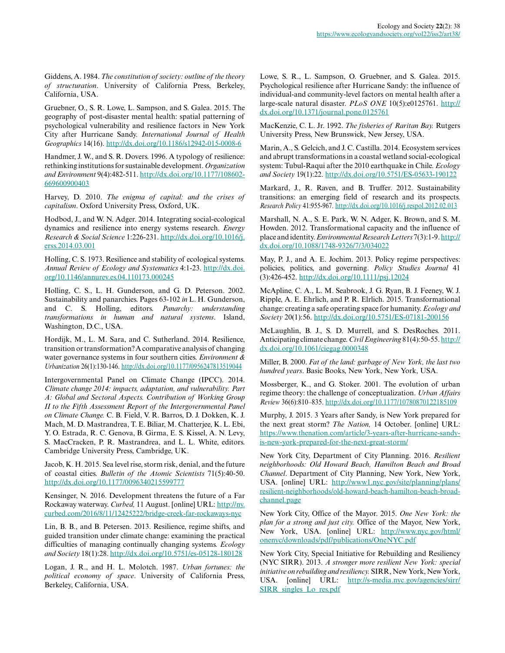Giddens, A. 1984. *The constitution of society: outline of the theory of structuration*. University of California Press, Berkeley, California, USA.

Gruebner, O., S. R. Lowe, L. Sampson, and S. Galea. 2015. The geography of post-disaster mental health: spatial patterning of psychological vulnerability and resilience factors in New York City after Hurricane Sandy. *International Journal of Health Geographics* 14(16). [http://dx.doi.org/10.1186/s12942-015-0008-6](http://dx.doi.org/10.1186%2Fs12942-015-0008-6) 

Handmer, J. W., and S. R. Dovers. 1996. A typology of resilience: rethinking institutions for sustainable development. *Organization and Environment* 9(4):482-511. [http://dx.doi.org/10.1177/108602](http://dx.doi.org/10.1177%2F108602669600900403) [669600900403](http://dx.doi.org/10.1177%2F108602669600900403)

Harvey, D. 2010. *The enigma of capital: and the crises of capitalism*. Oxford University Press, Oxford, UK.

Hodbod, J., and W. N. Adger. 2014. Integrating social-ecological dynamics and resilience into energy systems research. *Energy Research & Social Science* 1:226-231. [http://dx.doi.org/10.1016/j.](http://dx.doi.org/10.1016%2Fj.erss.2014.03.001) [erss.2014.03.001](http://dx.doi.org/10.1016%2Fj.erss.2014.03.001) 

Holling, C. S. 1973. Resilience and stability of ecological systems. *Annual Review of Ecology and Systematics* 4:1-23. [http://dx.doi.](http://dx.doi.org/10.1146%2Fannurev.es.04.110173.000245) [org/10.1146/annurev.es.04.110173.000245](http://dx.doi.org/10.1146%2Fannurev.es.04.110173.000245) 

Holling, C. S., L. H. Gunderson, and G. D. Peterson. 2002. Sustainability and panarchies. Pages 63-102 *in* L. H. Gunderson, and C. S. Holling, editors. *Panarchy: understanding transformations in human and natural systems*. Island, Washington, D.C., USA.

Hordijk, M., L. M. Sara, and C. Sutherland. 2014. Resilience, transition or transformation? A comparative analysis of changing water governance systems in four southern cities. *Environment & Urbanization* 26(1):130-146. [http://dx.doi.org/10.1177/0956247813519044](http://dx.doi.org/10.1177%2F0956247813519044)

Intergovernmental Panel on Climate Change (IPCC). 2014. *Climate change 2014: impacts, adaptation, and vulnerability. Part A: Global and Sectoral Aspects. Contribution of Working Group II to the Fifth Assessment Report of the Intergovernmental Panel on Climate Change.* C. B. Field, V. R. Barros, D. J. Dokken, K. J. Mach, M. D. Mastrandrea, T. E. Biliar, M. Chatterjee, K. L. Ebi, Y. O. Estrada, R. C. Genova, B. Girma, E. S. Kissel, A. N. Levy, S. MacCracken, P. R. Mastrandrea, and L. L. White, editors. Cambridge University Press, Cambridge, UK.

Jacob, K. H. 2015. Sea level rise, storm risk, denial, and the future of coastal cities. *Bulletin of the Atomic Scientists* 71(5):40-50. [http://dx.doi.org/10.1177/0096340215599777](http://dx.doi.org/10.1177%2F0096340215599777)

Kensinger, N. 2016. Development threatens the future of a Far Rockaway waterway. *Curbed,* 11 August. [online] URL: [http://ny.](http://ny.curbed.com/2016/8/11/12425222/bridge-creek-far-rockaways-nyc) [curbed.com/2016/8/11/12425222/bridge-creek-far-rockaways-nyc](http://ny.curbed.com/2016/8/11/12425222/bridge-creek-far-rockaways-nyc) 

Lin, B. B., and B. Petersen. 2013. Resilience, regime shifts, and guided transition under climate change: examining the practical difficulties of managing continually changing systems. *Ecology and Society* 18(1):28. [http://dx.doi.org/10.5751/es-05128-180128](http://dx.doi.org/10.5751%2Fes-05128-180128) 

Logan, J. R., and H. L. Molotch. 1987. *Urban fortunes: the political economy of space*. University of California Press, Berkeley, California, USA.

Lowe, S. R., L. Sampson, O. Gruebner, and S. Galea. 2015. Psychological resilience after Hurricane Sandy: the influence of individual-and community-level factors on mental health after a large-scale natural disaster. *PLoS ONE* 10(5):e0125761. [http://](http://dx.doi.org/10.1371%2Fjournal.pone.0125761) [dx.doi.org/10.1371/journal.pone.0125761](http://dx.doi.org/10.1371%2Fjournal.pone.0125761)

MacKenzie, C. L. Jr. 1992. *The fisheries of Raritan Bay.* Rutgers University Press, New Brunswick, New Jersey, USA.

Marin, A., S. Gelcich, and J. C. Castilla. 2014. Ecosystem services and abrupt transformations in a coastal wetland social-ecological system: Tubul-Raqui after the 2010 earthquake in Chile. *Ecology and Society* 19(1):22. [http://dx.doi.org/10.5751/ES-05633-190122](http://dx.doi.org/10.5751%2FES-05633-190122) 

Markard, J., R. Raven, and B. Truffer. 2012. Sustainability transitions: an emerging field of research and its prospects. *Research Policy* 41:955-967. [http://dx.doi.org/10.1016/j.respol.2012.02.013](http://dx.doi.org/10.1016%2Fj.respol.2012.02.013)

Marshall, N. A., S. E. Park, W. N. Adger, K. Brown, and S. M. Howden. 2012. Transformational capacity and the influence of place and identity. *Environmental Research Letters* 7(3):1-9. [http://](http://dx.doi.org/10.1088%2F1748-9326%2F7%2F3%2F034022) [dx.doi.org/10.1088/1748-9326/7/3/034022](http://dx.doi.org/10.1088%2F1748-9326%2F7%2F3%2F034022)

May, P. J., and A. E. Jochim. 2013. Policy regime perspectives: policies, politics, and governing. *Policy Studies Journal* 41 (3):426-452. <http://dx.doi.org/10.1111/psj.12024>

McApline, C. A., L. M. Seabrook, J. G. Ryan, B. J. Feeney, W. J. Ripple, A. E. Ehrlich, and P. R. Elrlich. 2015. Transformational change: creating a safe operating space for humanity. *Ecology and Society* 20(1):56. [http://dx.doi.org/10.5751/ES-07181-200156](http://dx.doi.org/10.5751%2FES-07181-200156)

McLaughlin, B. J., S. D. Murrell, and S. DesRoches. 2011. Anticipating climate change. *Civil Engineering* 81(4):50-55. [http://](http://dx.doi.org/10.1061%2Fciegag.0000348) [dx.doi.org/10.1061/ciegag.0000348](http://dx.doi.org/10.1061%2Fciegag.0000348)

Miller, B. 2000. *Fat of the land: garbage of New York, the last two hundred years*. Basic Books, New York, New York, USA.

Mossberger, K., and G. Stoker. 2001. The evolution of urban regime theory: the challenge of conceptualization. *Urban Affairs Review* 36(6):810–835. [http://dx.doi.org/10.1177/10780870122185109](http://dx.doi.org/10.1177%2F10780870122185109) 

Murphy, J. 2015. 3 Years after Sandy, is New York prepared for the next great storm? *The Nation,* 14 October. [online] URL: [https://www.thenation.com/article/3-years-after-hurricane-sandy](https://www.thenation.com/article/3-years-after-hurricane-sandy-is-new-york-prepared-for-the-next-great-storm/)[is-new-york-prepared-for-the-next-great-storm/](https://www.thenation.com/article/3-years-after-hurricane-sandy-is-new-york-prepared-for-the-next-great-storm/) 

New York City, Department of City Planning. 2016. *Resilient neighborhoods: Old Howard Beach, Hamilton Beach and Broad Channel*. Department of City Planning, New York, New York, USA. [online] URL: [http://www1.nyc.gov/site/planning/plans/](http://www1.nyc.gov/site/planning/plans/resilient-neighborhoods/old-howard-beach-hamilton-beach-broad-channel.page) [resilient-neighborhoods/old-howard-beach-hamilton-beach-broad](http://www1.nyc.gov/site/planning/plans/resilient-neighborhoods/old-howard-beach-hamilton-beach-broad-channel.page)[channel.page](http://www1.nyc.gov/site/planning/plans/resilient-neighborhoods/old-howard-beach-hamilton-beach-broad-channel.page) 

New York City, Office of the Mayor. 2015. *One New York: the plan for a strong and just city.* Office of the Mayor, New York, New York, USA. [online] URL: [http://www.nyc.gov/html/](http://www.nyc.gov/html/onenyc/downloads/pdf/publications/OneNYC.pdf) [onenyc/downloads/pdf/publications/OneNYC.pdf](http://www.nyc.gov/html/onenyc/downloads/pdf/publications/OneNYC.pdf)

New York City, Special Initiative for Rebuilding and Resiliency (NYC SIRR). 2013. *A stronger more resilient New York: special initiative on rebuilding and resiliency.* SIRR, New York, New York, USA. [online] URL: [http://s-media.nyc.gov/agencies/sirr/](http://s-media.nyc.gov/agencies/sirr/SIRR_singles_Lo_res.pdf) [SIRR\\_singles\\_Lo\\_res.pdf](http://s-media.nyc.gov/agencies/sirr/SIRR_singles_Lo_res.pdf)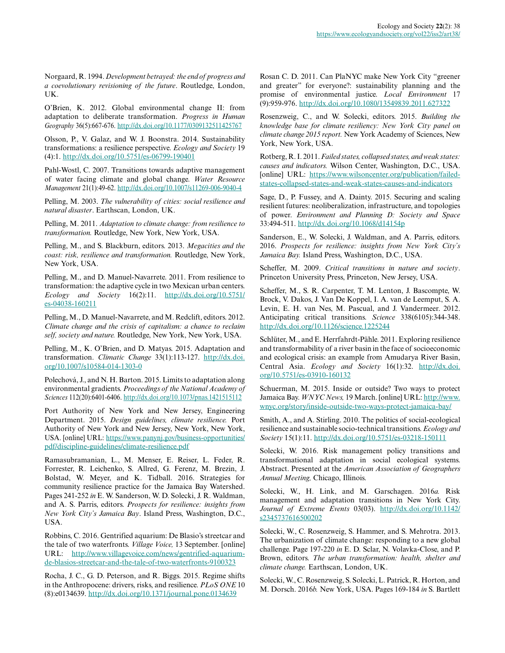Norgaard, R. 1994. *Development betrayed: the end of progress and a coevolutionary revisioning of the future*. Routledge, London, UK.

O'Brien, K. 2012. Global environmental change II: from adaptation to deliberate transformation. *Progress in Human Geography* 36(5):667-676. [http://dx.doi.org/10.1177/0309132511425767](http://dx.doi.org/10.1177%2F0309132511425767) 

Olsson, P., V. Galaz, and W. J. Boonstra. 2014. Sustainability transformations: a resilience perspective. *Ecology and Society* 19 (4):1. [http://dx.doi.org/10.5751/es-06799-190401](http://dx.doi.org/10.5751%2Fes-06799-190401)

Pahl-Wostl, C. 2007. Transitions towards adaptive management of water facing climate and global change. *Water Resource Management* 21(1):49-62. [http://dx.doi.org/10.1007/s11269-006-9040-4](http://dx.doi.org/10.1007%2Fs11269-006-9040-4) 

Pelling, M. 2003. *The vulnerability of cities: social resilience and natural disaster*. Earthscan, London, UK.

Pelling, M. 2011. *Adaptation to climate change: from resilience to transformation.* Routledge, New York, New York, USA.

Pelling, M., and S. Blackburn, editors. 2013. *Megacities and the coast: risk, resilience and transformation.* Routledge, New York, New York, USA.

Pelling, M., and D. Manuel-Navarrete. 2011. From resilience to transformation: the adaptive cycle in two Mexican urban centers. *Ecology and Society* 16(2):11. [http://dx.doi.org/10.5751/](http://dx.doi.org/10.5751%2Fes-04038-160211) [es-04038-160211](http://dx.doi.org/10.5751%2Fes-04038-160211) 

Pelling, M., D. Manuel-Navarrete, and M. Redclift, editors. 2012. *Climate change and the crisis of capitalism: a chance to reclaim self, society and nature.* Routledge, New York, New York, USA.

Pelling, M., K. O'Brien, and D. Matyas. 2015. Adaptation and transformation. *Climatic Change* 33(1):113-127. [http://dx.doi.](http://dx.doi.org/10.1007%2Fs10584-014-1303-0) [org/10.1007/s10584-014-1303-0](http://dx.doi.org/10.1007%2Fs10584-014-1303-0)

Polechová, J., and N. H. Barton. 2015. Limits to adaptation along environmental gradients. *Proceedings of the National Academy of Sciences* 112(20):6401-6406. [http://dx.doi.org/10.1073/pnas.1421515112](http://dx.doi.org/10.1073%2Fpnas.1421515112)

Port Authority of New York and New Jersey, Engineering Department. 2015. *Design guidelines, climate resilience.* Port Authority of New York and New Jersey, New York, New York, USA. [online] URL: [https://www.panynj.gov/business-opportunities/](https://www.panynj.gov/business-opportunities/pdf/discipline-guidelines/climate-resilience.pdf) [pdf/discipline-guidelines/climate-resilience.pdf](https://www.panynj.gov/business-opportunities/pdf/discipline-guidelines/climate-resilience.pdf)

Ramasubramanian, L., M. Menser, E. Reiser, L. Feder, R. Forrester, R. Leichenko, S. Allred, G. Ferenz, M. Brezin, J. Bolstad, W. Meyer, and K. Tidball. 2016. Strategies for community resilience practice for the Jamaica Bay Watershed. Pages 241-252 *in* E. W. Sanderson, W. D. Solecki, J. R. Waldman, and A. S. Parris, editors. *Prospects for resilience: insights from New York City's Jamaica Bay*. Island Press, Washington, D.C., USA.

Robbins, C. 2016. Gentrified aquarium: De Blasio's streetcar and the tale of two waterfronts. *Village Voice,* 13 September. [online] URL: [http://www.villagevoice.com/news/gentrified-aquarium](http://www.villagevoice.com/news/gentrified-aquarium-de-blasios-streetcar-and-the-tale-of-two-waterfronts-9100323)[de-blasios-streetcar-and-the-tale-of-two-waterfronts-9100323](http://www.villagevoice.com/news/gentrified-aquarium-de-blasios-streetcar-and-the-tale-of-two-waterfronts-9100323) 

Rocha, J. C., G. D. Peterson, and R. Biggs. 2015. Regime shifts in the Anthropocene: drivers, risks, and resilience. *PLoS ONE* 10 (8):e0134639. [http://dx.doi.org/10.1371/journal.pone.0134639](http://dx.doi.org/10.1371%2Fjournal.pone.0134639) 

Rosan C. D. 2011. Can PlaNYC make New York City "greener and greater" for everyone?: sustainability planning and the promise of environmental justice. *Local Environment* 17 (9):959-976. [http://dx.doi.org/10.1080/13549839.2011.627322](http://dx.doi.org/10.1080%2F13549839.2011.627322) 

Rosenzweig, C., and W. Solecki, editors. 2015. *Building the knowledge base for climate resiliency: New York City panel on climate change 2015 report.* New York Academy of Sciences, New York, New York, USA.

Rotberg, R. I. 2011. *Failed states, collapsed states, and weak states: causes and indicators.* Wilson Center, Washington, D.C., USA. [online] URL: [https://www.wilsoncenter.org/publication/failed](https://www.wilsoncenter.org/publication/failed-states-collapsed-states-and-weak-states-causes-and-indicators)[states-collapsed-states-and-weak-states-causes-and-indicators](https://www.wilsoncenter.org/publication/failed-states-collapsed-states-and-weak-states-causes-and-indicators) 

Sage, D., P. Fussey, and A. Dainty. 2015. Securing and scaling resilient futures: neoliberalization, infrastructure, and topologies of power. *Environment and Planning D: Society and Space* 33:494-511. [http://dx.doi.org/10.1068/d14154p](http://dx.doi.org/10.1068%2Fd14154p) 

Sanderson, E., W. Solecki, J. Waldman, and A. Parris, editors. 2016. *Prospects for resilience: insights from New York City's Jamaica Bay.* Island Press, Washington, D.C., USA.

Scheffer, M. 2009. *Critical transitions in nature and society*. Princeton University Press, Princeton, New Jersey, USA.

Scheffer, M., S. R. Carpenter, T. M. Lenton, J. Bascompte, W. Brock, V. Dakos, J. Van De Koppel, I. A. van de Leemput, S. A. Levin, E. H. van Nes, M. Pascual, and J. Vandermeer. 2012. Anticipating critical transitions. *Science* 338(6105):344-348. [http://dx.doi.org/10.1126/science.1225244](http://dx.doi.org/10.1126%2Fscience.1225244)

Schlüter, M., and E. Herrfahrdt-Pähle. 2011. Exploring resilience and transformability of a river basin in the face of socioeconomic and ecological crisis: an example from Amudarya River Basin, Central Asia. *Ecology and Society* 16(1):32. [http://dx.doi.](http://dx.doi.org/10.5751%2Fes-03910-160132) [org/10.5751/es-03910-160132](http://dx.doi.org/10.5751%2Fes-03910-160132)

Schuerman, M. 2015. Inside or outside? Two ways to protect Jamaica Bay. *WNYC News,* 19 March. [online] URL: [http://www.](http://www.wnyc.org/story/inside-outside-two-ways-protect-jamaica-bay/) [wnyc.org/story/inside-outside-two-ways-protect-jamaica-bay/](http://www.wnyc.org/story/inside-outside-two-ways-protect-jamaica-bay/)

Smith, A., and A. Stirling. 2010. The politics of social-ecological resilience and sustainable socio-technical transitions. *Ecology and Society* 15(1):11. [http://dx.doi.org/10.5751/es-03218-150111](http://dx.doi.org/10.5751%2Fes-03218-150111) 

Solecki, W. 2016. Risk management policy transitions and transformational adaptation in social ecological systems. Abstract. Presented at the *American Association of Geographers Annual Meeting,* Chicago, Illinois.

Solecki, W., H. Link, and M. Garschagen. 2016*a.* Risk management and adaptation transitions in New York City. *Journal of Extreme Events* 03(03). [http://dx.doi.org/10.1142/](http://dx.doi.org/10.1142%2Fs2345737616500202) [s2345737616500202](http://dx.doi.org/10.1142%2Fs2345737616500202)

Solecki, W., C. Rosenzweig, S. Hammer, and S. Mehrotra. 2013. The urbanization of climate change: responding to a new global challenge. Page 197-220 *in* E. D. Sclar, N. Volavka-Close, and P. Brown, editors. *The urban transformation: health, shelter and climate change.* Earthscan, London, UK.

Solecki, W., C. Rosenzweig, S. Solecki, L. Patrick, R. Horton, and M. Dorsch. 2016*b.* New York, USA. Pages 169-184 *in* S. Bartlett